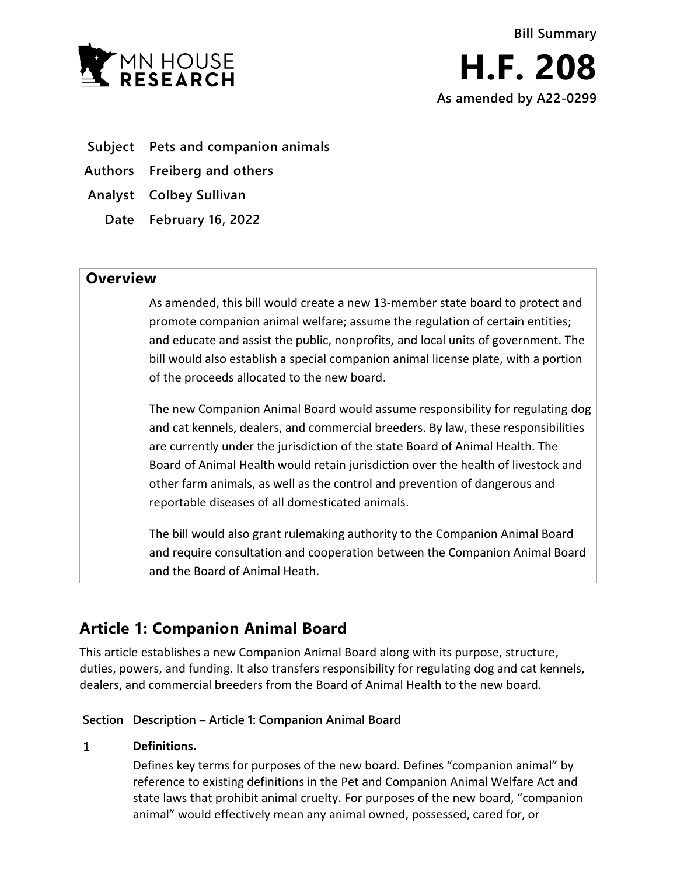

- **Subject Pets and companion animals**
- **Authors Freiberg and others**
- **Analyst Colbey Sullivan**
	- **Date February 16, 2022**

## **Overview**

As amended, this bill would create a new 13-member state board to protect and promote companion animal welfare; assume the regulation of certain entities; and educate and assist the public, nonprofits, and local units of government. The bill would also establish a special companion animal license plate, with a portion of the proceeds allocated to the new board.

The new Companion Animal Board would assume responsibility for regulating dog and cat kennels, dealers, and commercial breeders. By law, these responsibilities are currently under the jurisdiction of the state Board of Animal Health. The Board of Animal Health would retain jurisdiction over the health of livestock and other farm animals, as well as the control and prevention of dangerous and reportable diseases of all domesticated animals.

The bill would also grant rulemaking authority to the Companion Animal Board and require consultation and cooperation between the Companion Animal Board and the Board of Animal Heath.

# **Article 1: Companion Animal Board**

This article establishes a new Companion Animal Board along with its purpose, structure, duties, powers, and funding. It also transfers responsibility for regulating dog and cat kennels, dealers, and commercial breeders from the Board of Animal Health to the new board.

### **Section Description – Article 1: Companion Animal Board**

### $\mathbf{1}$ **Definitions.**

Defines key terms for purposes of the new board. Defines "companion animal" by reference to existing definitions in the Pet and Companion Animal Welfare Act and state laws that prohibit animal cruelty. For purposes of the new board, "companion animal" would effectively mean any animal owned, possessed, cared for, or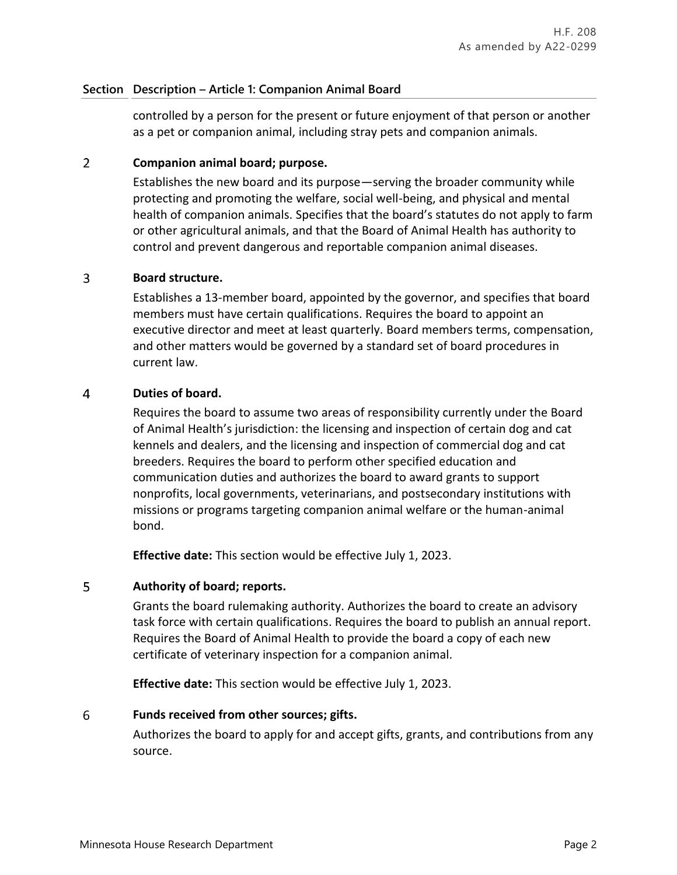### **Section Description – Article 1: Companion Animal Board**

controlled by a person for the present or future enjoyment of that person or another as a pet or companion animal, including stray pets and companion animals.

### $\overline{2}$ **Companion animal board; purpose.**

Establishes the new board and its purpose—serving the broader community while protecting and promoting the welfare, social well-being, and physical and mental health of companion animals. Specifies that the board's statutes do not apply to farm or other agricultural animals, and that the Board of Animal Health has authority to control and prevent dangerous and reportable companion animal diseases.

### $\overline{3}$ **Board structure.**

Establishes a 13-member board, appointed by the governor, and specifies that board members must have certain qualifications. Requires the board to appoint an executive director and meet at least quarterly. Board members terms, compensation, and other matters would be governed by a standard set of board procedures in current law.

### $\overline{4}$ **Duties of board.**

Requires the board to assume two areas of responsibility currently under the Board of Animal Health's jurisdiction: the licensing and inspection of certain dog and cat kennels and dealers, and the licensing and inspection of commercial dog and cat breeders. Requires the board to perform other specified education and communication duties and authorizes the board to award grants to support nonprofits, local governments, veterinarians, and postsecondary institutions with missions or programs targeting companion animal welfare or the human-animal bond.

**Effective date:** This section would be effective July 1, 2023.

### 5 **Authority of board; reports.**

Grants the board rulemaking authority. Authorizes the board to create an advisory task force with certain qualifications. Requires the board to publish an annual report. Requires the Board of Animal Health to provide the board a copy of each new certificate of veterinary inspection for a companion animal.

**Effective date:** This section would be effective July 1, 2023.

### 6 **Funds received from other sources; gifts.**

Authorizes the board to apply for and accept gifts, grants, and contributions from any source.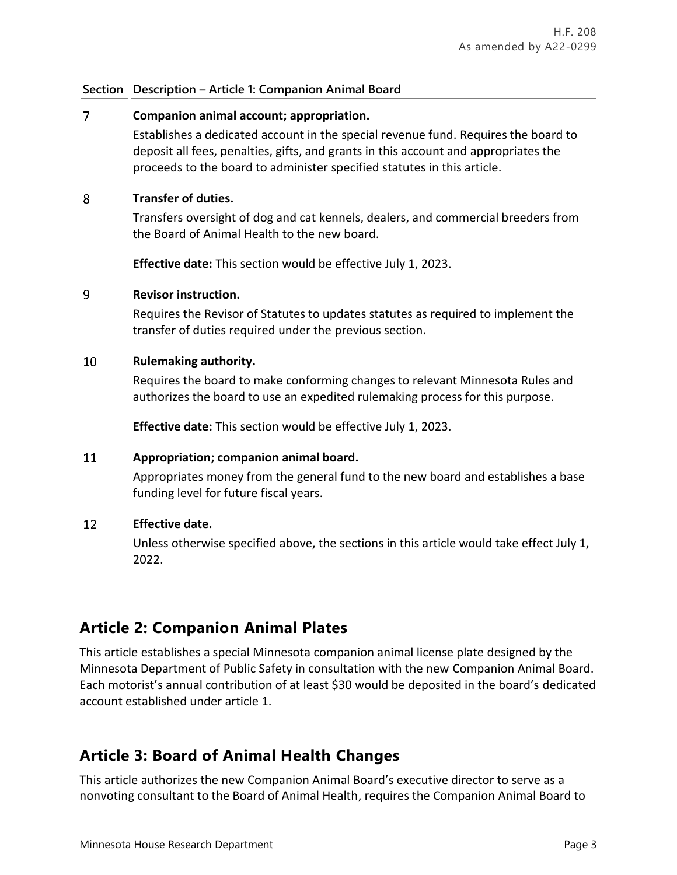### **Section Description – Article 1: Companion Animal Board**

### $\overline{7}$ **Companion animal account; appropriation.**

Establishes a dedicated account in the special revenue fund. Requires the board to deposit all fees, penalties, gifts, and grants in this account and appropriates the proceeds to the board to administer specified statutes in this article.

### 8 **Transfer of duties.**

Transfers oversight of dog and cat kennels, dealers, and commercial breeders from the Board of Animal Health to the new board.

**Effective date:** This section would be effective July 1, 2023.

### $\overline{q}$ **Revisor instruction.**

Requires the Revisor of Statutes to updates statutes as required to implement the transfer of duties required under the previous section.

### 10 **Rulemaking authority.**

Requires the board to make conforming changes to relevant Minnesota Rules and authorizes the board to use an expedited rulemaking process for this purpose.

**Effective date:** This section would be effective July 1, 2023.

### 11 **Appropriation; companion animal board.**

Appropriates money from the general fund to the new board and establishes a base funding level for future fiscal years.

### 12 **Effective date.**

Unless otherwise specified above, the sections in this article would take effect July 1, 2022.

# **Article 2: Companion Animal Plates**

This article establishes a special Minnesota companion animal license plate designed by the Minnesota Department of Public Safety in consultation with the new Companion Animal Board. Each motorist's annual contribution of at least \$30 would be deposited in the board's dedicated account established under article 1.

# **Article 3: Board of Animal Health Changes**

This article authorizes the new Companion Animal Board's executive director to serve as a nonvoting consultant to the Board of Animal Health, requires the Companion Animal Board to